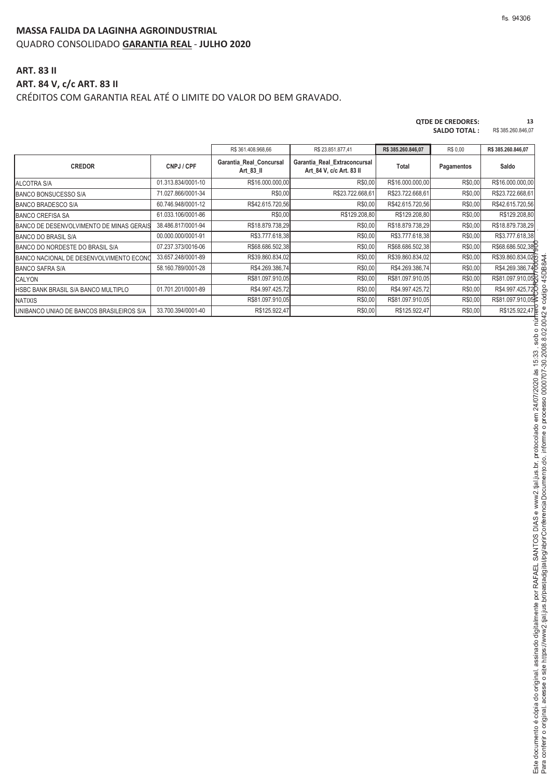#### **MASSA FALIDA DA LAGINHA AGROINDUSTRIAL** QUADRO CONSOLIDADO **GARANTIA REAL** - **JULHO 2020**

### **ART. 83 II ART. 84 V, c/c ART. 83 II** CRÉDITOS COM GARANTIA REAL ATÉ O LIMITE DO VALOR DO BEM GRAVADO.

| <b>OTDE DE CREDORES:</b> | 13                 |
|--------------------------|--------------------|
| <b>SALDO TOTAL:</b>      | R\$ 385,260,846.07 |

|                                          |                    | R\$ 361.408.968,66                   | R\$ 23.851.877,41                                        | R\$ 385.260.846,07 | R\$ 0,00   | R\$ 385.260.846,07 |
|------------------------------------------|--------------------|--------------------------------------|----------------------------------------------------------|--------------------|------------|--------------------|
| <b>CREDOR</b>                            | CNPJ / CPF         | Garantia Real Concursal<br>Art 83 II | Garantia Real Extraconcursal<br>Art 84 V, c/c Art. 83 II | Total              | Pagamentos | Saldo              |
| <b>ALCOTRA S/A</b>                       | 01.313.834/0001-10 | R\$16.000.000,00                     | R\$0,00                                                  | R\$16.000.000,00   | R\$0,00    | R\$16.000.000,00   |
| <b>BANCO BONSUCESSO S/A</b>              | 71.027.866/0001-34 | R\$0,00                              | R\$23.722.668,61                                         | R\$23.722.668,61   | R\$0,00    | R\$23.722.668,61   |
| <b>BANCO BRADESCO S/A</b>                | 60.746.948/0001-12 | R\$42.615.720,56                     | R\$0,00                                                  | R\$42.615.720,56   | R\$0,00    | R\$42.615.720,56   |
| <b>BANCO CREFISA SA</b>                  | 61.033.106/0001-86 | R\$0,00                              | R\$129.208,80                                            | R\$129.208,80      | R\$0,00    | R\$129.208,80      |
| BANCO DE DESENVOLVIMENTO DE MINAS GERAIS | 38.486.817/0001-94 | R\$18.879.738,29                     | R\$0,00                                                  | R\$18.879.738,29   | R\$0,00    | R\$18.879.738,29   |
| BANCO DO BRASIL S/A                      | 00.000.000/0001-91 | R\$3.777.618,38                      | R\$0,00                                                  | R\$3.777.618,38    | R\$0,00    | R\$3.777.618,38    |
| BANCO DO NORDESTE DO BRASIL S/A          | 07.237.373/0016-06 | R\$68.686.502,38                     | R\$0,00                                                  | R\$68.686.502,38   | R\$0,00    | R\$68.686.502,38   |
| BANCO NACIONAL DE DESENVOLVIMENTO ECONO  | 33.657.248/0001-89 | R\$39.860.834,02                     | R\$0,00                                                  | R\$39.860.834,02   | R\$0,00    | R\$39.860.834,020  |
| <b>BANCO SAFRA S/A</b>                   | 58.160.789/0001-28 | R\$4.269.386,74                      | R\$0,00                                                  | R\$4.269.386,74    | R\$0,00    | R\$4.269.386,746   |
| <b>CALYON</b>                            |                    | R\$81.097.910,05                     | R\$0,00                                                  | R\$81.097.910,05   | R\$0,00    | R\$81.097.910,05   |
| HSBC BANK BRASIL S/A BANCO MULTIPLO      | 01.701.201/0001-89 | R\$4.997.425,72                      | R\$0,00                                                  | R\$4.997.425,72    | R\$0,00    | R\$4.997.425,72    |
| <b>NATIXIS</b>                           |                    | R\$81.097.910,05                     | R\$0,00                                                  | R\$81.097.910,05   | R\$0,00    | R\$81.097.910.05   |
| UNIBANCO UNIAO DE BANCOS BRASILEIROS S/A | 33.700.394/0001-40 | R\$125.922,47                        | R\$0,00                                                  | R\$125.922,47      | R\$0,00    | R\$125.922,47b     |

 - י<br>י

&   $\overline{\phantom{a}}$  $\frac{1}{2}$  nferir o original

ento é cópi

n original assin

֡֡֡֡

 $\ddot{\phantom{a}}$ ֖֖֖֖ׅׅ֧֖֖֚֚֚֚֚֚֚֚֚֚֚֚֚֚֚֚֚֚֚֚֚֚֚֚֚֚֚֚֚֚֡֡֡֡֞֡֞֝֝֓֡֞֡֡֡֞֝֞֞  $\ddot{\cdot}$ 

thos://www2 tial ius br/pastadigital/pg/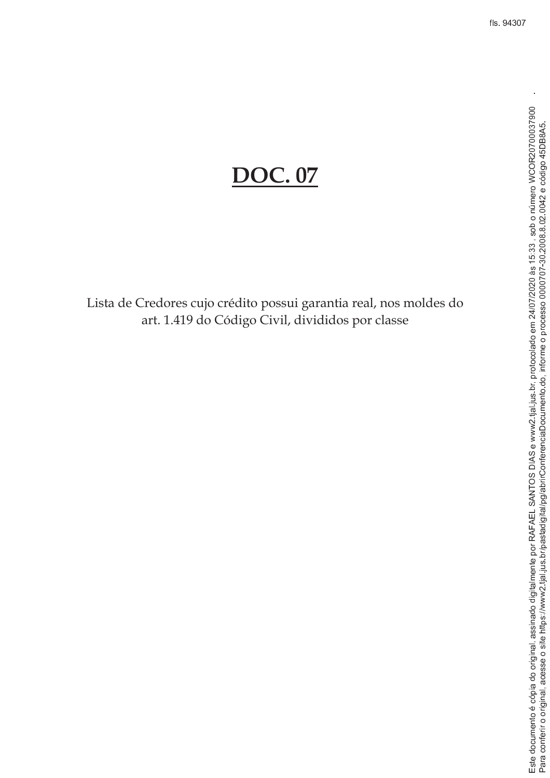# **DOC.** 07

Lista de Credores cujo crédito possui garantia real, nos moldes do art. 1.419 do Código Civil, divididos por classe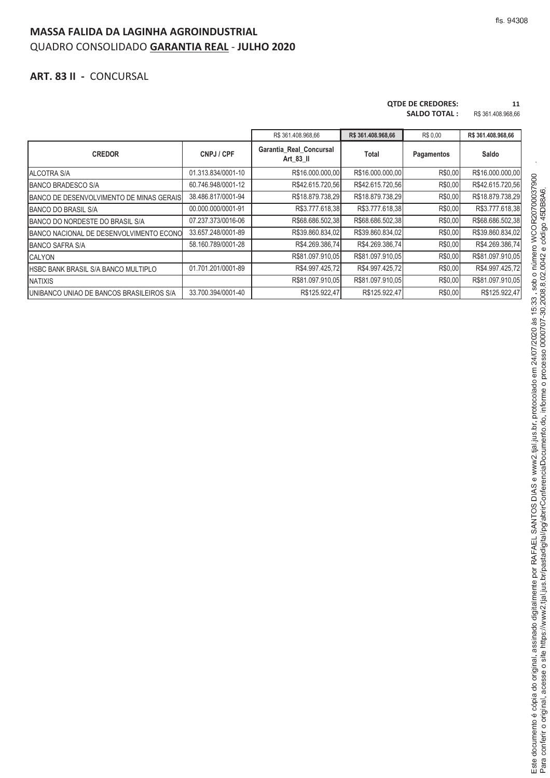## **MASSA FALIDA DA LAGINHA AGROINDUSTRIAL** QUADRO CONSOLIDADO **GARANTIA REAL** - **JULHO 2020**

#### **ART. 83 II -** CONCURSAL

#### **QTDE DE CREDORES: 11**

**SALDO TOTAL :** R\$ 361.408.968,66

|                                                  |                    | R\$ 361.408.968,66                   | R\$ 361.408.968,66 | R\$ 0.00   | R\$ 361.408.968,66 |
|--------------------------------------------------|--------------------|--------------------------------------|--------------------|------------|--------------------|
| <b>CREDOR</b>                                    | CNPJ / CPF         | Garantia_Real_Concursal<br>Art 83 II | Total              | Pagamentos | Saldo              |
| <b>ALCOTRA S/A</b>                               | 01.313.834/0001-10 | R\$16.000.000,00                     | R\$16.000.000,00   | R\$0,00    | R\$16.000.000,00   |
| <b>BANCO BRADESCO S/A</b>                        | 60.746.948/0001-12 | R\$42.615.720.56                     | R\$42.615.720,56   | R\$0,00    | R\$42.615.720,56   |
| BANCO DE DESENVOLVIMENTO DE MINAS GERAIS         | 38.486.817/0001-94 | R\$18.879.738,29                     | R\$18.879.738,29   | R\$0,00    | R\$18.879.738,29   |
| <b>BANCO DO BRASIL S/A</b>                       | 00.000.000/0001-91 | R\$3.777.618.38                      | R\$3.777.618.38    | R\$0,00    | R\$3.777.618,38    |
| BANCO DO NORDESTE DO BRASIL S/A                  | 07.237.373/0016-06 | R\$68.686.502,38                     | R\$68.686.502,38   | R\$0,00    | R\$68.686.502,38   |
| BANCO NACIONAL DE DESENVOLVIMENTO ECONO          | 33.657.248/0001-89 | R\$39.860.834,02                     | R\$39.860.834,02   | R\$0,00    | R\$39.860.834,02   |
| <b>BANCO SAFRA S/A</b>                           | 58.160.789/0001-28 | R\$4.269.386,74                      | R\$4.269.386,74    | R\$0,00    | R\$4.269.386,74    |
| <b>CALYON</b>                                    |                    | R\$81.097.910,05                     | R\$81.097.910,05   | R\$0,00    | R\$81.097.910,05   |
| <b>HSBC BANK BRASIL S/A BANCO MULTIPLO</b>       | 01.701.201/0001-89 | R\$4.997.425,72                      | R\$4.997.425,72    | R\$0,00    | R\$4.997.425,72    |
| <b>NATIXIS</b>                                   |                    | R\$81.097.910,05                     | R\$81.097.910,05   | R\$0,00    | R\$81.097.910,05   |
| <b>IUNIBANCO UNIAO DE BANCOS BRASILEIROS S/A</b> | 33.700.394/0001-40 | R\$125.922,47                        | R\$125.922,47      | R\$0,00    | R\$125.922,47      |